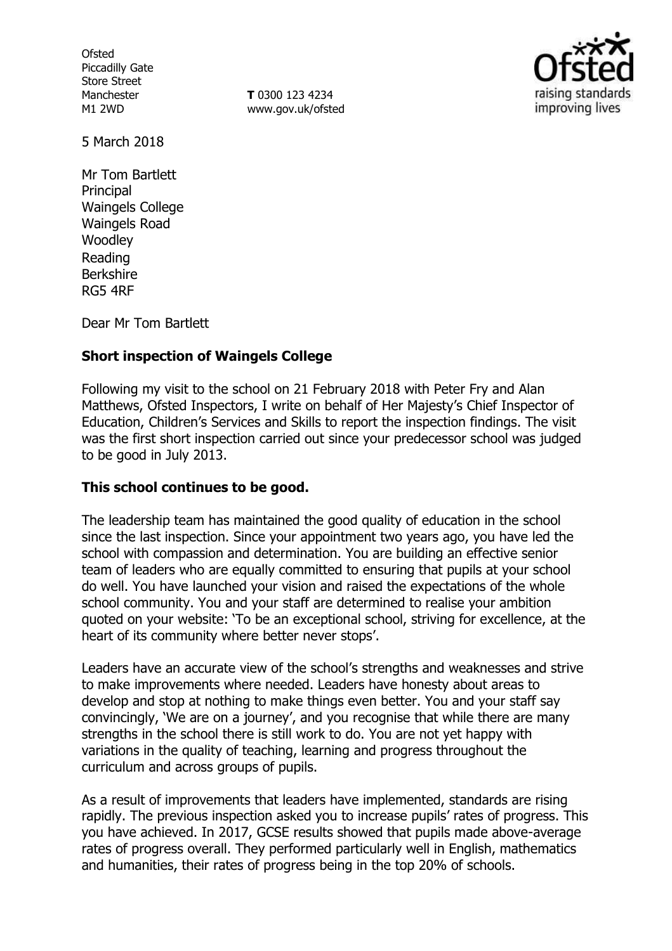**Ofsted** Piccadilly Gate Store Street Manchester M1 2WD

**T** 0300 123 4234 www.gov.uk/ofsted



5 March 2018

Mr Tom Bartlett **Principal** Waingels College Waingels Road **Woodley** Reading Berkshire RG5 4RF

Dear Mr Tom Bartlett

# **Short inspection of Waingels College**

Following my visit to the school on 21 February 2018 with Peter Fry and Alan Matthews, Ofsted Inspectors, I write on behalf of Her Majesty's Chief Inspector of Education, Children's Services and Skills to report the inspection findings. The visit was the first short inspection carried out since your predecessor school was judged to be good in July 2013.

## **This school continues to be good.**

The leadership team has maintained the good quality of education in the school since the last inspection. Since your appointment two years ago, you have led the school with compassion and determination. You are building an effective senior team of leaders who are equally committed to ensuring that pupils at your school do well. You have launched your vision and raised the expectations of the whole school community. You and your staff are determined to realise your ambition quoted on your website: 'To be an exceptional school, striving for excellence, at the heart of its community where better never stops'.

Leaders have an accurate view of the school's strengths and weaknesses and strive to make improvements where needed. Leaders have honesty about areas to develop and stop at nothing to make things even better. You and your staff say convincingly, 'We are on a journey', and you recognise that while there are many strengths in the school there is still work to do. You are not yet happy with variations in the quality of teaching, learning and progress throughout the curriculum and across groups of pupils.

As a result of improvements that leaders have implemented, standards are rising rapidly. The previous inspection asked you to increase pupils' rates of progress. This you have achieved. In 2017, GCSE results showed that pupils made above-average rates of progress overall. They performed particularly well in English, mathematics and humanities, their rates of progress being in the top 20% of schools.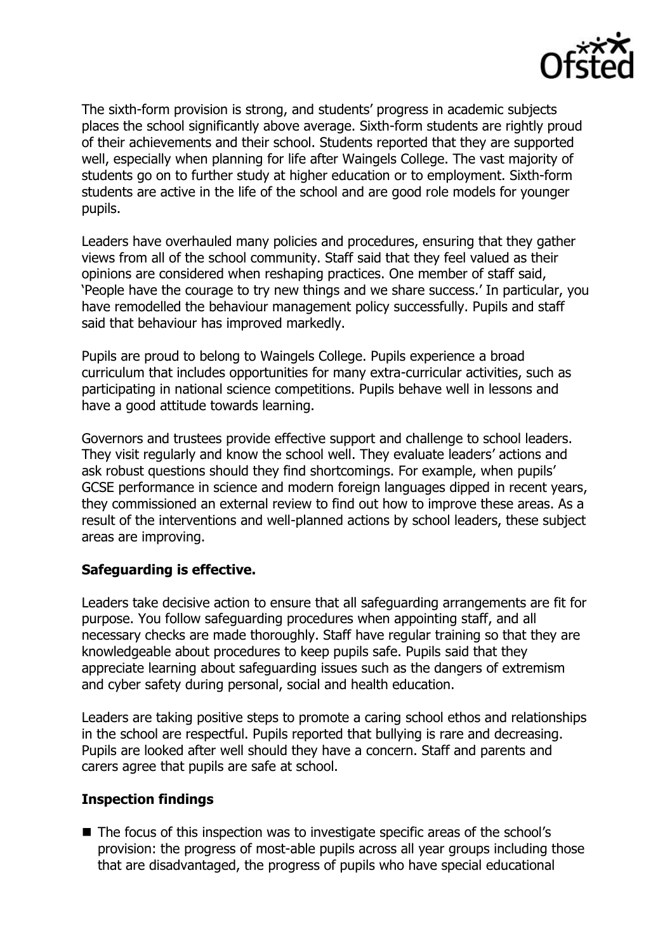

The sixth-form provision is strong, and students' progress in academic subjects places the school significantly above average. Sixth-form students are rightly proud of their achievements and their school. Students reported that they are supported well, especially when planning for life after Waingels College. The vast majority of students go on to further study at higher education or to employment. Sixth-form students are active in the life of the school and are good role models for younger pupils.

Leaders have overhauled many policies and procedures, ensuring that they gather views from all of the school community. Staff said that they feel valued as their opinions are considered when reshaping practices. One member of staff said, 'People have the courage to try new things and we share success.' In particular, you have remodelled the behaviour management policy successfully. Pupils and staff said that behaviour has improved markedly.

Pupils are proud to belong to Waingels College. Pupils experience a broad curriculum that includes opportunities for many extra-curricular activities, such as participating in national science competitions. Pupils behave well in lessons and have a good attitude towards learning.

Governors and trustees provide effective support and challenge to school leaders. They visit regularly and know the school well. They evaluate leaders' actions and ask robust questions should they find shortcomings. For example, when pupils' GCSE performance in science and modern foreign languages dipped in recent years, they commissioned an external review to find out how to improve these areas. As a result of the interventions and well-planned actions by school leaders, these subject areas are improving.

## **Safeguarding is effective.**

Leaders take decisive action to ensure that all safeguarding arrangements are fit for purpose. You follow safeguarding procedures when appointing staff, and all necessary checks are made thoroughly. Staff have regular training so that they are knowledgeable about procedures to keep pupils safe. Pupils said that they appreciate learning about safeguarding issues such as the dangers of extremism and cyber safety during personal, social and health education.

Leaders are taking positive steps to promote a caring school ethos and relationships in the school are respectful. Pupils reported that bullying is rare and decreasing. Pupils are looked after well should they have a concern. Staff and parents and carers agree that pupils are safe at school.

### **Inspection findings**

■ The focus of this inspection was to investigate specific areas of the school's provision: the progress of most-able pupils across all year groups including those that are disadvantaged, the progress of pupils who have special educational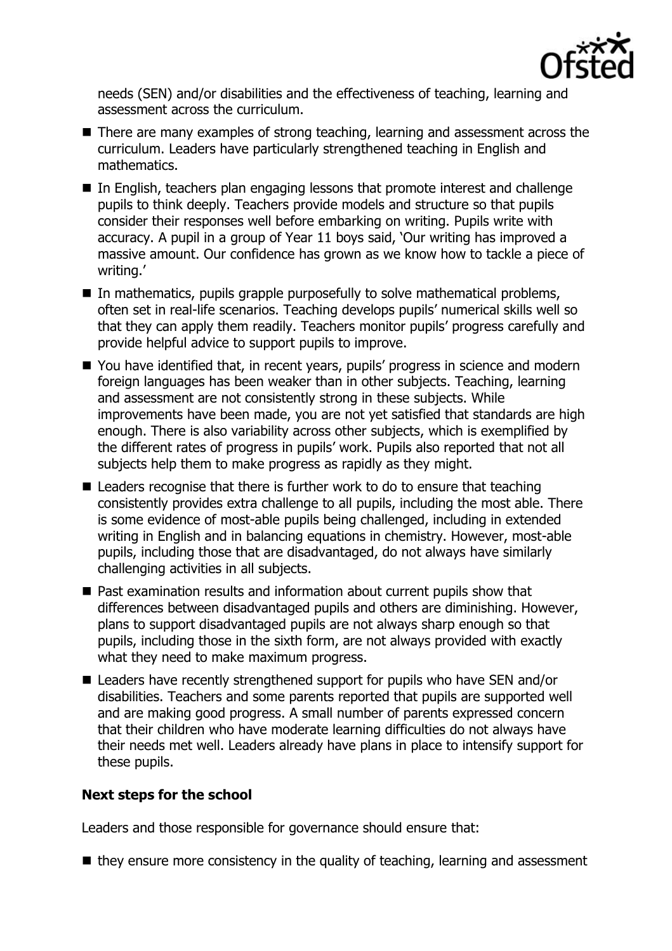

needs (SEN) and/or disabilities and the effectiveness of teaching, learning and assessment across the curriculum.

- There are many examples of strong teaching, learning and assessment across the curriculum. Leaders have particularly strengthened teaching in English and mathematics.
- In English, teachers plan engaging lessons that promote interest and challenge pupils to think deeply. Teachers provide models and structure so that pupils consider their responses well before embarking on writing. Pupils write with accuracy. A pupil in a group of Year 11 boys said, 'Our writing has improved a massive amount. Our confidence has grown as we know how to tackle a piece of writing.'
- In mathematics, pupils grapple purposefully to solve mathematical problems, often set in real-life scenarios. Teaching develops pupils' numerical skills well so that they can apply them readily. Teachers monitor pupils' progress carefully and provide helpful advice to support pupils to improve.
- You have identified that, in recent years, pupils' progress in science and modern foreign languages has been weaker than in other subjects. Teaching, learning and assessment are not consistently strong in these subjects. While improvements have been made, you are not yet satisfied that standards are high enough. There is also variability across other subjects, which is exemplified by the different rates of progress in pupils' work. Pupils also reported that not all subjects help them to make progress as rapidly as they might.
- Leaders recognise that there is further work to do to ensure that teaching consistently provides extra challenge to all pupils, including the most able. There is some evidence of most-able pupils being challenged, including in extended writing in English and in balancing equations in chemistry. However, most-able pupils, including those that are disadvantaged, do not always have similarly challenging activities in all subjects.
- Past examination results and information about current pupils show that differences between disadvantaged pupils and others are diminishing. However, plans to support disadvantaged pupils are not always sharp enough so that pupils, including those in the sixth form, are not always provided with exactly what they need to make maximum progress.
- Leaders have recently strengthened support for pupils who have SEN and/or disabilities. Teachers and some parents reported that pupils are supported well and are making good progress. A small number of parents expressed concern that their children who have moderate learning difficulties do not always have their needs met well. Leaders already have plans in place to intensify support for these pupils.

## **Next steps for the school**

Leaders and those responsible for governance should ensure that:

 $\blacksquare$  they ensure more consistency in the quality of teaching, learning and assessment